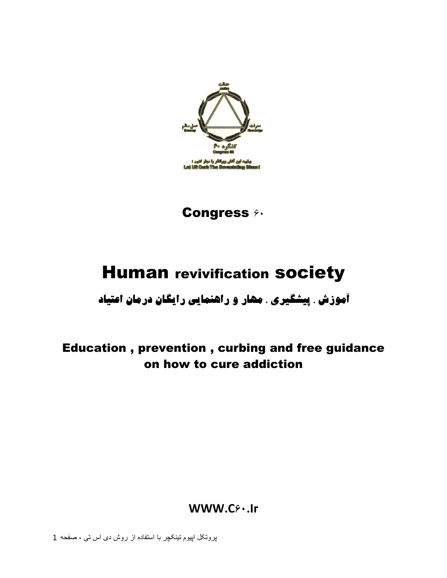

**Congress**  $90$ 

# **Human revivification society**

**آهَزش ، پیطگیری ، هْار ٍ راٌّوایی رایگاى درهاى اػتیاد**

## Education , prevention , curbing and free guidance on how to cure addiction

**WWW.C60.Ir**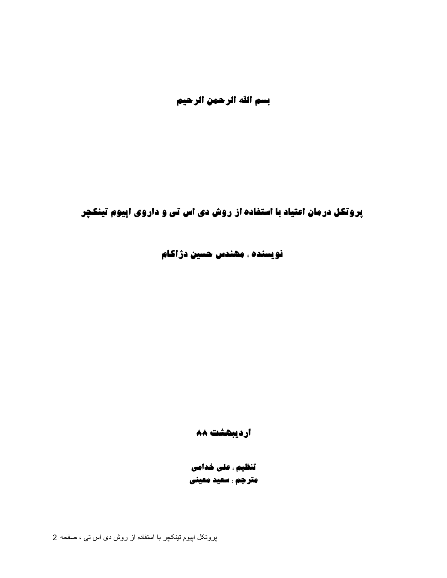بسم الله الرحمن الرحیم

**پرٍتکل درهاى اػتیاد با استفادُ از رٍش دی اس تی ٍ دارٍی اپیَم تیٌکچر**

**ًَیسٌذُ : هٌْذس حسیي دژاکام** 

**اردیبْطت 88**

**تٌظین : ػلی خذاهی هترجن : سؼیذ هؼیٌی**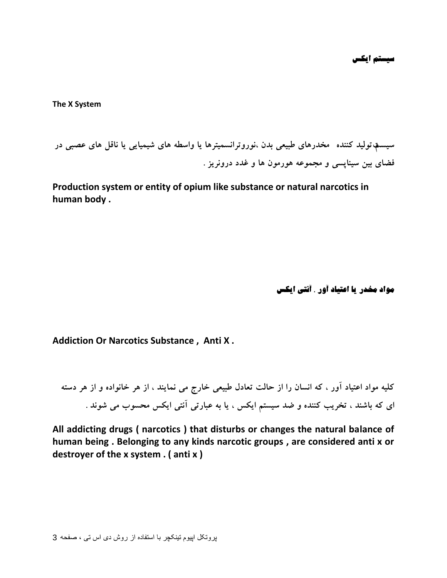**The X System** 

سیستم تولید کننده مخدرهای طبیعی بدن ،نوروترانسمیترها یا واسطه های شیمیایی یا ناقل های عصبی در فضای بین سینایسی و مجموعه هورمون ها و غدد درون<u>ویز</u> .

**Production system or entity of opium like substance or natural narcotics in human body .** 

**هَاد هخذر یا اػتیاد آٍر ، آًتی ایکس**

**Addiction Or Narcotics Substance , Anti X .** 

کلیه مواد اعتیاد آور ، که انسان را از حالت تعادل طبیعی خارج می نمایند ، از هر خانواده و از هر دسته ای که باشند ، تخریب کننده و ضد سیستم ایکس ، یا به عبارتی آنتی ایکس محسوب می شوند .

**All addicting drugs ( narcotics ) that disturbs or changes the natural balance of human being . Belonging to any kinds narcotic groups , are considered anti x or destroyer of the x system . ( anti x )**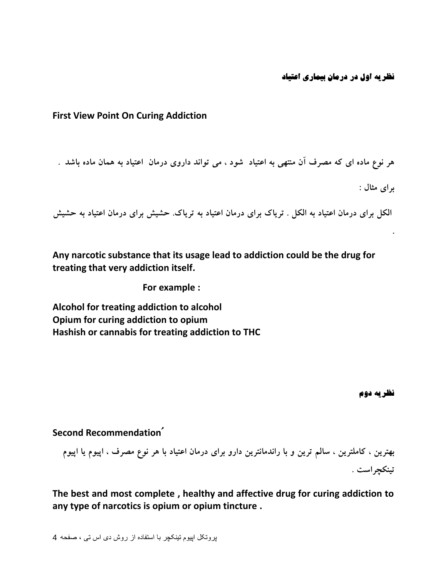### **First View Point On Curing Addiction**

هر نوع ماده ای که مصرف آن منتهی به اعتیاد شود ، می تواند داروی درمان **اعتیاد به همان ماده باشد** . **ثشای هثبل :**

الکل برای درمان اعتیاد به الکل . تریاک برای درمان اعتیاد به تریاک. حشیش برای درمان اعتیاد به حشیش

**Any narcotic substance that its usage lead to addiction could be the drug for treating that very addiction itself.** 

**For example :** 

**Alcohol for treating addiction to alcohol Opium for curing addiction to opium Hashish or cannabis for treating addiction to THC** **.**

#### **Second Recommendationُ**

بهترین ، کاملترین ، سالم ترین و با راندمانترین دارو برای درمان اعتیاد با هر نوع مصرف ، اپیوم یا اپیوم **تیٌکچشاست .**

**The best and most complete , healthy and affective drug for curing addiction to any type of narcotics is opium or opium tincture .**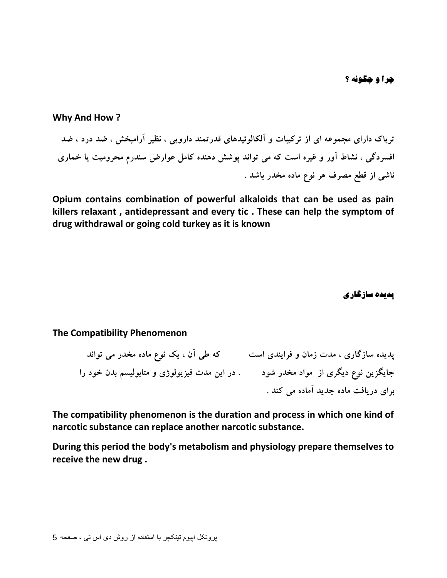**چرا و چگونه ؟** 

**Why And How ?**

تریاک دارای مجموعه ای از ترکیبات و آلکالوئیدهای قدرتمند دارویی ، نظیر آرامبخش ، ضد درد ، ضد افسردگی ، نشاط آور و غیره است که می تواند پوشش دهنده کامل عوارض سندرم محرومیت یا خماری **ًبضی اص قغغ هػشف ّش ًَع هبدُ هخذس ثبضذ .**

**Opium contains combination of powerful alkaloids that can be used as pain killers relaxant , antidepressant and every tic . These can help the symptom of drug withdrawal or going cold turkey as it is known**

**پذیذُ سازگاری**

**The Compatibility Phenomenon**

پدیده سازگاری ، مدت زمان و فرایندی است که طی آن ، یک نوع ماده مخدر می تواند جایگزین نوع دیگری از مواد مخدر شود در این مدت فیزیولوژی و متابولیسم بدن خود را **ثشای دسیبفت هبدُ جذیذ آهبدُ هی کٌذ .**

**The compatibility phenomenon is the duration and process in which one kind of narcotic substance can replace another narcotic substance.** 

**During this period the body's metabolism and physiology prepare themselves to receive the new drug .**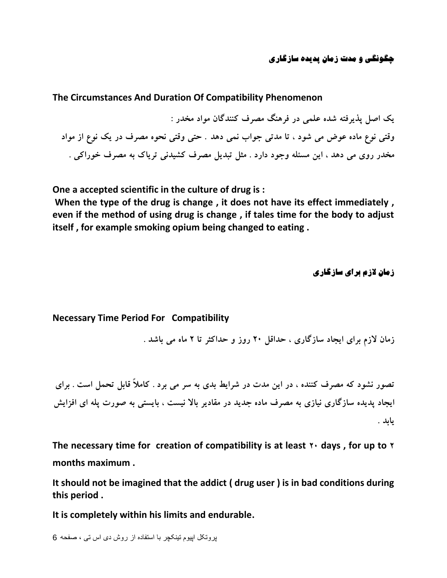**چگًَگی ٍ هذت زهاى پذیذُ سازگاری**

#### **The Circumstances And Duration Of Compatibility Phenomenon**

**یک اغل پزیشفتِ ضذُ ػلوی دس فشٌّگ هػشف کٌٌذگبى هَاد هخذس :** وقتی نوع ماده عوض می شود ، تا مدتی جواب نمی دهد . حتی وقتی نحوه مصرف در یک نوع از مواد مخدر روی می دهد ، این مسئله وجود دارد . مثل تبدیل مصرف کشیدنی تریاک به مصرف خوراکی .

**One a accepted scientific in the culture of drug is :**

**When the type of the drug is change , it does not have its effect immediately , even if the method of using drug is change , if tales time for the body to adjust itself , for example smoking opium being changed to eating .** 

**زهاى الزم برای سازگاری**

**Necessary Time Period For Compatibility**

**صهبى الصم ثشای ایجبد سبصگبسی ، حذاقل 20 سٍص ٍ حذاکثش تب 2 هبُ هی ثبضذ .**

**تػَس ًطَد کِ هػشف کٌٌذُ ، دس ایي هذت دس ضشایظ ثذی ثِ سش هی ثشد . کبهالً قبثل تحول است . ثشای**  ایجاد پدیده سازگاری نیازی به مصرف ماده جدید در مقادیر بالا نیست ، بایستی به صورت پله ای افزایش **یبثذ .**

The necessary time for creation of compatibility is at least  $\gamma$  days, for up to  $\gamma$ **months maximum .**

**It should not be imagined that the addict ( drug user ) is in bad conditions during this period .**

**It is completely within his limits and endurable.**

```
پروتکل اپیوم تینکچر با استفاده از روش دی اس تی ، صفحو 6
```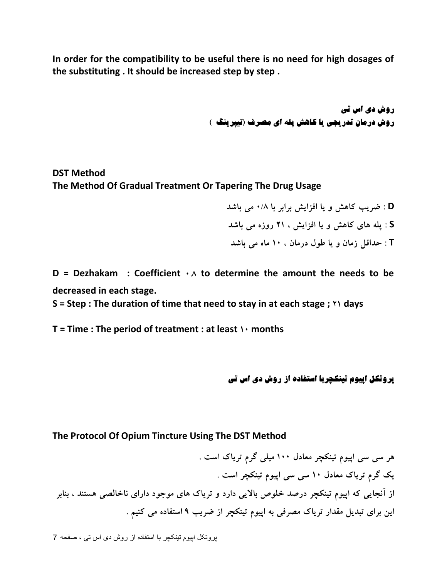**In order for the compatibility to be useful there is no need for high dosages of the substituting . It should be increased step by step .** 

> **رٍش دی اس تی رٍش درهاى تذریجی یا کاّص پلِ ای هصرف )تیپریٌگ (**

**DST Method The Method Of Gradual Treatment Or Tapering The Drug Usage**

- **D : ضشیت کبّص ٍ یب افضایص ثشاثش ثب 0/8 هی ثبضذ**
- **S : پلِ ّبی کبّص ٍ یب افضایص ، 21 سٍصُ هی ثبضذ**
- **T : حذاقل صهبى ٍ یب عَل دسهبى ، 10 هبُ هی ثبضذ**

**D** = Dezhakam : Coefficient  $\cdot \wedge$  to determine the amount the needs to be **decreased in each stage.**

**S = Step : The duration of time that need to stay in at each stage ; 21 days**

**T = Time : The period of treatment : at least 10 months** 

**پرٍتکل اپیَم تیٌکچربا استفادُ از رٍش دی اس تی**

### **The Protocol Of Opium Tincture Using The DST Method**

**ّش سی سی اپیَم تیٌکچش هؼبدل 100 هیلی گشم تشیبک است . یک گشم تشیبک هؼبدل 10 سی سی اپیَم تیٌکچش است .** از آنجایی که اپیوم تینکچر درصد خلوص بالایی دارد و تریاک های موجود دارای ناخالصی هستند ، بنابر این برای تبدیل مقدار تریاک مصرفی به اییوم تینکچر از ضریب ۹ استفاده می کنیم .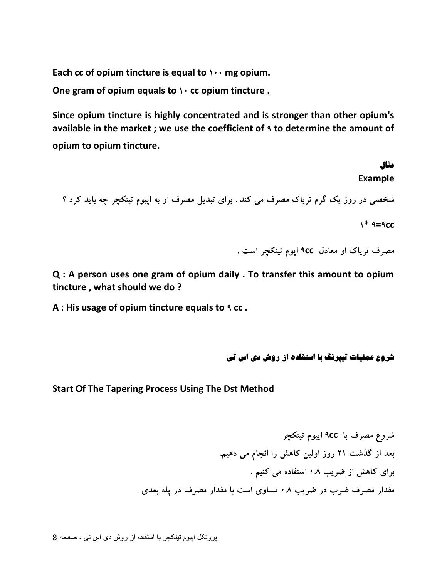Each cc of opium tincture is equal to  $\cdots$  mg opium.

**One gram of opium equals to 10 cc opium tincture .**

**Since opium tincture is highly concentrated and is stronger than other opium's available in the market ; we use the coefficient of 9 to determine the amount of opium to opium tincture.** 

# **هثال Example** شخصی در روز یک گرم تریاک مصرف می کند . برای تبدیل مصرف او به اپیوم تینکچر چِه باید کرد ؟  $1 * 9 = 9C$

**هػشف تشیبک اٍ هؼبدل cc9 اپَم تیٌکچش است .**

**Q : A person uses one gram of opium daily . To transfer this amount to opium tincture , what should we do ?**

**A : His usage of opium tincture equals to 9 cc .**

**ضرٍع ػولیات تیپرًگ با استفادُ از رٍش دی اس تی**

**Start Of The Tapering Process Using The Dst Method**

**ضشٍع هػشف ثب cc9 اپیَم تیٌکچش ثؼذ اص گزضت 21 سٍص اٍلیي کبّص سا اًجبم هی دّین. ثشای کبّص اص ضشیت 0.8 استفبدُ هی کٌین . هقذاس هػشف ضشة دس ضشیت 0.8 هسبٍی است ثب هقذاس هػشف دس پلِ ثؼذی .**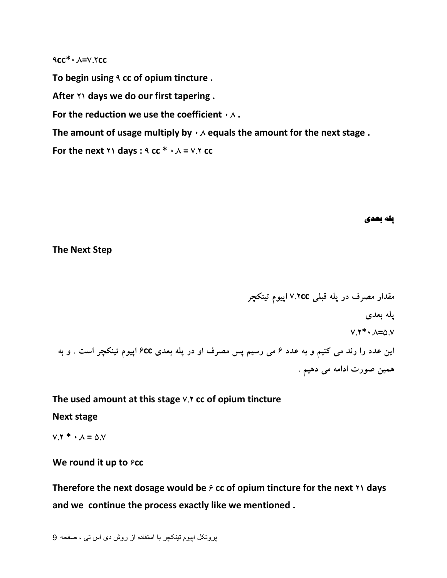**9cc\*0.8=7.2cc**

**To begin using 9 cc of opium tincture .**

**After 21 days we do our first tapering .**

**For the reduction we use the coefficient**  $\cdot \wedge$ **.** 

The amount of usage multiply by  $\cdot \wedge$  equals the amount for the next stage .

**For the next**  $\gamma$ **<sup>1</sup> days :**  $\gamma$  **cc**  $* \cdot \lambda = \gamma$ **.** $\gamma$  **cc** 

**پلِ بؼذی**

**The Next Step**

**هقذاس هػشف دس پلِ قجلی cc7.2 اپیَم تیٌکچش پلِ ثؼذی 7.2\*0.8=5.7 ایي ػذد سا سًذ هی کٌین ٍ ثِ ػذد 6 هی سسین پس هػشف اٍ دس پلِ ثؼذی cc6 اپیَم تیٌکچش است . ٍ ثِ**  همین صورت ادامه می دهیم .

**The used amount at this stage 7.2 cc of opium tincture**

**Next stage**

 $V.7 * \cdot A = 0.9$ 

### **We round it up to**  $\epsilon$ **cc**

**Therefore the next dosage would be**  $\hat{r}$  **cc of opium tincture for the next**  $\hat{r}$  **days and we continue the process exactly like we mentioned .**

```
پروتکل اپیوم تینکچر با استفاده از روش دی اس تی ، صفحو 9
```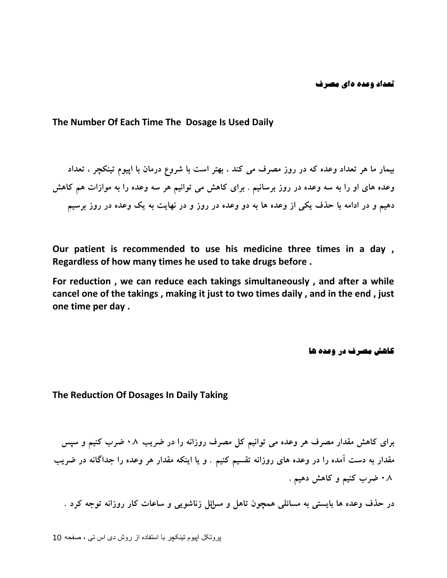#### **The Number Of Each Time The Dosage Is Used Daily**

بیمار ما هر تعداد وعده که در روز مصرف می کند ، بهتر است با شروع درمان با اپیوم تینکچر ، تعداد وعده های او را به سه وعده در روز برسانیم . برای کاهش می توانیم هر سه وعده را به موازات هم کاهش دهیم و در ادامه با حذف یکی از وعده ها به دو وعده در روز و در نهایت به یک وعده در روز برسیم

**Our patient is recommended to use his medicine three times in a day , Regardless of how many times he used to take drugs before .**

**For reduction , we can reduce each takings simultaneously , and after a while cancel one of the takings , making it just to two times daily , and in the end , just one time per day .** 

**کاهش مصرف در وعده ها** 

**The Reduction Of Dosages In Daily Taking**

**ثشای کبّص هقذاس هػشف ّش ٍػذُ هی تَاًین کل هػشف سٍصاًِ سا دس ضشیت 0.8 ضشة کٌین ٍ سپس**  مقدار به دست آمده را در وعده های روزانه تقسیم کنیم . و یا اینکه مقدار هر وعده را جداگانه در ضریب ۰۸ ضرب کنیم و کاهش دهیم .

در حذف وعده ها بایستی به مسائلی همچون تاهل و مسائل زناشویی و ساعات کار روزانه توجه کرد .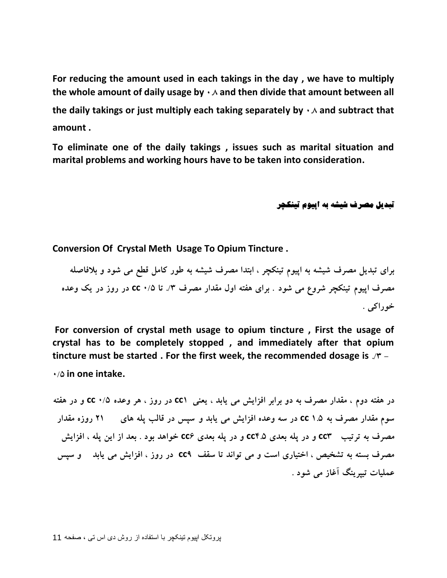**For reducing the amount used in each takings in the day , we have to multiply the whole amount of daily usage by 0.8 and then divide that amount between all**  the daily takings or just multiply each taking separately by  $\cdot \wedge$  and subtract that **amount .**

**To eliminate one of the daily takings , issues such as marital situation and marital problems and working hours have to be taken into consideration.**

**تبذیل هصرف ضیطِ بِ اپیَم تیٌکچر**

**Conversion Of Crystal Meth Usage To Opium Tincture .**

برای تبدیل مصرف شیشه به اییوم تینکچر ، ابتدا مصرِف شیشه به طور کامل قطع می شود و بلافاصله **هػشف اپیَم تیٌکچش ضشٍع هی ضَد . ثشای ّفتِ اٍل هقذاس هػشف ./3 تب 0/5 cc دس سٍص دس یک ٍػذُ خَساکی .**

**For conversion of crystal meth usage to opium tincture , First the usage of crystal has to be completely stopped , and immediately after that opium tincture must be started . For the first week, the recommended dosage is ./3 -**

**0/5 in one intake.**

در هفته دوم ، مقدار مصرف به دو برابر افزایش می یابد ، یعنی CC۱ در روز ، هر وعده ۰/۵ CC و در هفته **سَم هقذاس هػشف ثِ 1.5 cc دس سِ ٍػذُ افضایص هی یبثذ ٍ سپس دس قبلت پلِ ّبی 21 سٍصُ هقذاس هػشف ثِ تشتیت 3cc ٍ دس پلِ ثؼذی 4.5cc ٍ دس پلِ ثؼذی 6cc خَاّذ ثَد . ثؼذ اص ایي پلِ ، افضایص هػشف ثستِ ثِ تطخیع ، اختیبسی است ٍ هی تَاًذ تب سقف 9cc دس سٍص ، افضایص هی یبثذ ٍ سپس**  عملیات تیپرینگ آغاز می شود .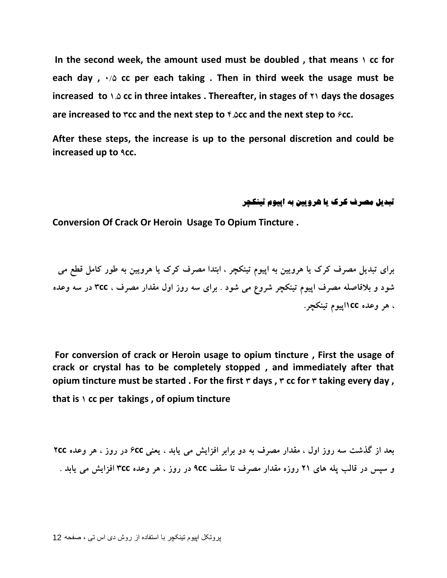**In the second week, the amount used must be doubled , that means 1 cc for each day , 0/5 cc per each taking . Then in third week the usage must be increased to 1.5 cc in three intakes . Thereafter, in stages of 21 days the dosages are increased to 3cc and the next step to 4.5cc and the next step to 6cc.**

**After these steps, the increase is up to the personal discretion and could be increased up to 9cc.** 

#### **تبذیل هصرف کرک یا ّرٍییي بِ اپیَم تیٌکچر**

**Conversion Of Crack Or Heroin Usage To Opium Tincture .**

**ثشای تجذیل هػشف کشک یب ّشٍییي ثِ اپیَم تیٌکچش ، اثتذا هػشف کشک یب ّشٍییي ثِ عَس کبهل قغغ هی ضَد ٍ ثالفبغلِ هػشف اپیَم تیٌکچش ضشٍع هی ضَد . ثشای سِ سٍص اٍل هقذاس هػشف ، cc3 دس سِ ٍػذُ ، ّش ٍػذُ cc1اپیَم تیٌکچش.**

**For conversion of crack or Heroin usage to opium tincture , First the usage of crack or crystal has to be completely stopped , and immediately after that opium tincture must be started. For the first**  $\tau$  **days,**  $\tau$  **cc for**  $\tau$  **taking every day, that is 1 cc per takings , of opium tincture**

**ثؼذ اص گزضت سِ سٍص اٍل ، هقذاس هػشف ثِ دٍ ثشاثش افضایص هی یبثذ ، یؼٌی cc6 دس سٍص ، ّش ٍػذُ cc2 ٍ سپس دس قبلت پلِ ّبی 21 سٍصُ هقذاس هػشف تب سقف cc9 دس سٍص ، ّش ٍػذُ cc3 افضایص هی یبثذ .**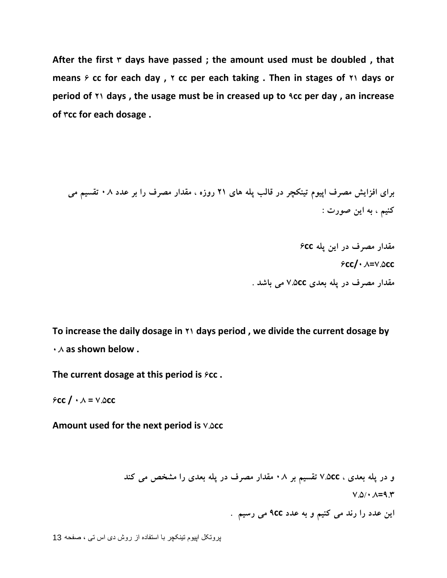After the first  $\dot{r}$  days have passed; the amount used must be doubled, that **means 6 cc for each day , 2 cc per each taking . Then in stages of 21 days or period of 21 days , the usage must be in creased up to 9cc per day , an increase of 3cc for each dosage .** 

**ثشای افضایص هػشف اپیَم تیٌکچش دس قبلت پلِ ّبی 21 سٍصُ ، هقذاس هػشف سا ثش ػذد 0.8 تقسین هی**  کنيم ، به اين صورت :

> **هقذاس هػشف دس ایي پلِ cc6 6cc/0.8=7.5cc هقذاس هػشف دس پلِ ثؼذی cc7.5 هی ثبضذ .**

**To increase the daily dosage in 21 days period , we divide the current dosage by 0.8 as shown below .**

**The current dosage at this period is**  $\epsilon$ **cc.** 

 $f \circ \text{CC}$  /  $\cdot \wedge = \vee \text{.} \triangle$ **CC** 

**Amount used for the next period is 7.5cc**

**ٍ دس پلِ ثؼذی ، cc7.5 تقسین ثش 0.8 هقذاس هػشف دس پلِ ثؼذی سا هطخع هی کٌذ**

**7.5/0.8=9.3**

**ایي ػذد سا سًذ هی کٌین ٍ ثِ ػذد cc9 هی سسین .**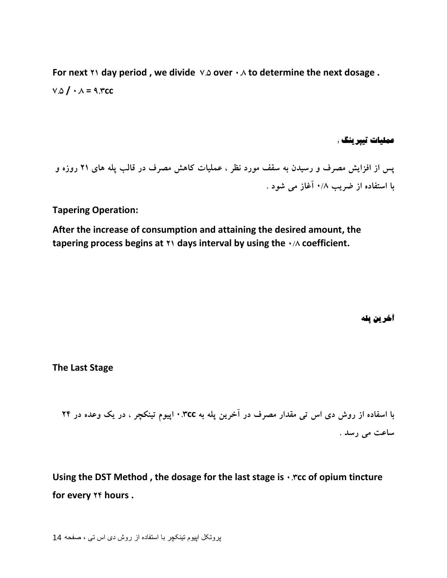**For next 21 day period , we divide 7.5 over 0.8 to determine the next dosage .**  $V.\Omega$  **/**  $\cdot \Lambda = 9.7$ **cc** 

**ػولیات تیپریٌگ :**

پس از افزایش مصرف و رسیدن به سقف مورد نظر ، عملیات کاهش مصرف در قالب یله های ۲۱ روزه و **ثب استفبدُ اص ضشیت 0/8 آغبص هی ضَد .**

**Tapering Operation:**

**After the increase of consumption and attaining the desired amount, the tapering process begins at 21 days interval by using the 0/8 coefficient.** 

**آخریي پلِ**

**The Last Stage**

**ثب اسفبدُ اص سٍش دی اس تی هقذاس هػشف دس آخشیي پلِ ثِ cc0.3 اپیَم تیٌکچش ، دس یک ٍػذُ دس 24** ساعت می رسد .

**Using the DST Method , the dosage for the last stage is 0.3cc of opium tincture for every 24 hours .**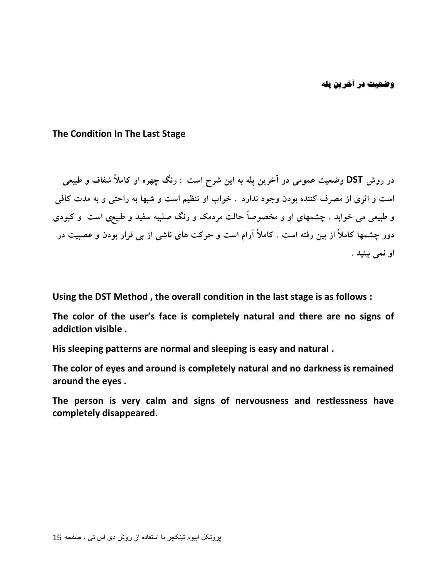**The Condition In The Last Stage**

در روش **DST** وضعیت عمومی در آخرین پله به این شرح است : رنگ چهره او کاملاً شفاف و طبیعی است و اثری از مصرف کننده بودن وجود ندارد . خواب او تنظیم است و شبها به راحتی و به مدت کافی و طبیعی می خوابد . چشمهای او و مخصوصاً حالت مردمک و رنگ صلبیه سفید و طبیعی است ٍ و کبودی دور چشمها کاملاً از بین رفته است . کاملاً آرام است و حرکت های ناشی از بی قرار بودن و عصبیت در **اٍ ًوی ثیٌیذ .**

**Using the DST Method , the overall condition in the last stage is as follows :**

**The color of the user's face is completely natural and there are no signs of addiction visible .**

**His sleeping patterns are normal and sleeping is easy and natural .**

**The color of eyes and around is completely natural and no darkness is remained around the eyes .**

**The person is very calm and signs of nervousness and restlessness have completely disappeared.**